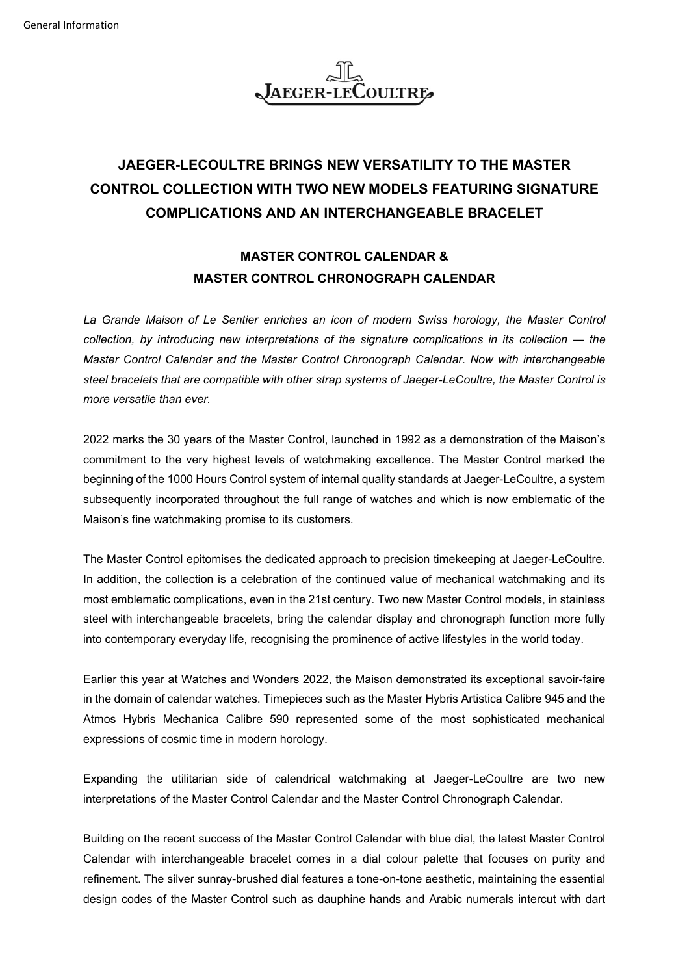

## **JAEGER-LECOULTRE BRINGS NEW VERSATILITY TO THE MASTER CONTROL COLLECTION WITH TWO NEW MODELS FEATURING SIGNATURE COMPLICATIONS AND AN INTERCHANGEABLE BRACELET**

### **MASTER CONTROL CALENDAR & MASTER CONTROL CHRONOGRAPH CALENDAR**

La Grande Maison of Le Sentier enriches an icon of modern Swiss horology, the Master Control *collection, by introducing new interpretations of the signature complications in its collection — the Master Control Calendar and the Master Control Chronograph Calendar. Now with interchangeable steel bracelets that are compatible with other strap systems of Jaeger-LeCoultre, the Master Control is more versatile than ever.*

2022 marks the 30 years of the Master Control, launched in 1992 as a demonstration of the Maison's commitment to the very highest levels of watchmaking excellence. The Master Control marked the beginning of the 1000 Hours Control system of internal quality standards at Jaeger-LeCoultre, a system subsequently incorporated throughout the full range of watches and which is now emblematic of the Maison's fine watchmaking promise to its customers.

The Master Control epitomises the dedicated approach to precision timekeeping at Jaeger-LeCoultre. In addition, the collection is a celebration of the continued value of mechanical watchmaking and its most emblematic complications, even in the 21st century. Two new Master Control models, in stainless steel with interchangeable bracelets, bring the calendar display and chronograph function more fully into contemporary everyday life, recognising the prominence of active lifestyles in the world today.

Earlier this year at Watches and Wonders 2022, the Maison demonstrated its exceptional savoir-faire in the domain of calendar watches. Timepieces such as the Master Hybris Artistica Calibre 945 and the Atmos Hybris Mechanica Calibre 590 represented some of the most sophisticated mechanical expressions of cosmic time in modern horology.

Expanding the utilitarian side of calendrical watchmaking at Jaeger-LeCoultre are two new interpretations of the Master Control Calendar and the Master Control Chronograph Calendar.

Building on the recent success of the Master Control Calendar with blue dial, the latest Master Control Calendar with interchangeable bracelet comes in a dial colour palette that focuses on purity and refinement. The silver sunray-brushed dial features a tone-on-tone aesthetic, maintaining the essential design codes of the Master Control such as dauphine hands and Arabic numerals intercut with dart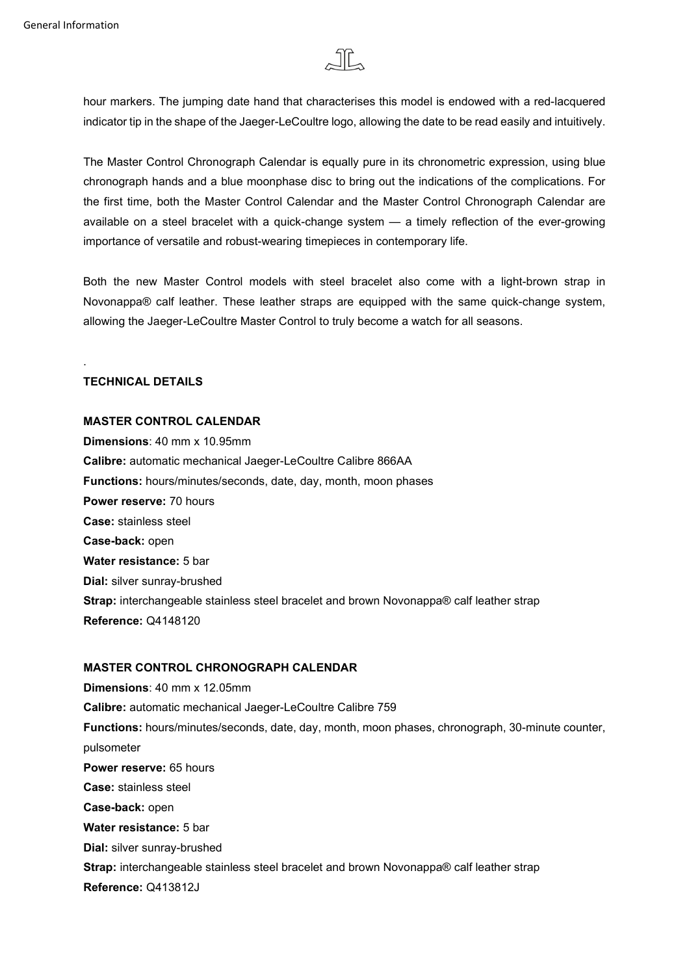

hour markers. The jumping date hand that characterises this model is endowed with a red-lacquered indicator tip in the shape of the Jaeger-LeCoultre logo, allowing the date to be read easily and intuitively.

The Master Control Chronograph Calendar is equally pure in its chronometric expression, using blue chronograph hands and a blue moonphase disc to bring out the indications of the complications. For the first time, both the Master Control Calendar and the Master Control Chronograph Calendar are available on a steel bracelet with a quick-change system — a timely reflection of the ever-growing importance of versatile and robust-wearing timepieces in contemporary life.

Both the new Master Control models with steel bracelet also come with a light-brown strap in Novonappa® calf leather. These leather straps are equipped with the same quick-change system, allowing the Jaeger-LeCoultre Master Control to truly become a watch for all seasons.

#### **TECHNICAL DETAILS**

.

### **MASTER CONTROL CALENDAR**

**Dimensions**: 40 mm x 10.95mm **Calibre:** automatic mechanical Jaeger-LeCoultre Calibre 866AA **Functions:** hours/minutes/seconds, date, day, month, moon phases **Power reserve:** 70 hours **Case:** stainless steel **Case-back:** open **Water resistance:** 5 bar **Dial:** silver sunray-brushed **Strap:** interchangeable stainless steel bracelet and brown Novonappa® calf leather strap **Reference:** Q4148120

#### **MASTER CONTROL CHRONOGRAPH CALENDAR**

**Dimensions**: 40 mm x 12.05mm **Calibre:** automatic mechanical Jaeger-LeCoultre Calibre 759 **Functions:** hours/minutes/seconds, date, day, month, moon phases, chronograph, 30-minute counter, pulsometer **Power reserve:** 65 hours **Case:** stainless steel **Case-back:** open **Water resistance:** 5 bar **Dial:** silver sunray-brushed **Strap:** interchangeable stainless steel bracelet and brown Novonappa® calf leather strap **Reference:** Q413812J